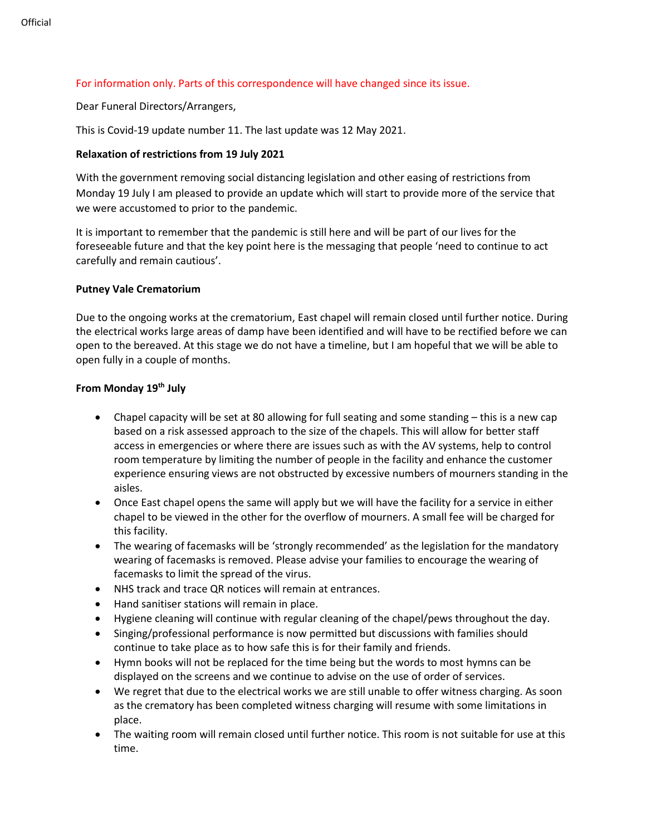# For information only. Parts of this correspondence will have changed since its issue.

Dear Funeral Directors/Arrangers,

This is Covid-19 update number 11. The last update was 12 May 2021.

# **Relaxation of restrictions from 19 July 2021**

With the government removing social distancing legislation and other easing of restrictions from Monday 19 July I am pleased to provide an update which will start to provide more of the service that we were accustomed to prior to the pandemic.

It is important to remember that the pandemic is still here and will be part of our lives for the foreseeable future and that the key point here is the messaging that people 'need to continue to act carefully and remain cautious'.

## **Putney Vale Crematorium**

Due to the ongoing works at the crematorium, East chapel will remain closed until further notice. During the electrical works large areas of damp have been identified and will have to be rectified before we can open to the bereaved. At this stage we do not have a timeline, but I am hopeful that we will be able to open fully in a couple of months.

## **From Monday 19th July**

- Chapel capacity will be set at 80 allowing for full seating and some standing this is a new cap based on a risk assessed approach to the size of the chapels. This will allow for better staff access in emergencies or where there are issues such as with the AV systems, help to control room temperature by limiting the number of people in the facility and enhance the customer experience ensuring views are not obstructed by excessive numbers of mourners standing in the aisles.
- Once East chapel opens the same will apply but we will have the facility for a service in either chapel to be viewed in the other for the overflow of mourners. A small fee will be charged for this facility.
- The wearing of facemasks will be 'strongly recommended' as the legislation for the mandatory wearing of facemasks is removed. Please advise your families to encourage the wearing of facemasks to limit the spread of the virus.
- NHS track and trace QR notices will remain at entrances.
- Hand sanitiser stations will remain in place.
- Hygiene cleaning will continue with regular cleaning of the chapel/pews throughout the day.
- Singing/professional performance is now permitted but discussions with families should continue to take place as to how safe this is for their family and friends.
- Hymn books will not be replaced for the time being but the words to most hymns can be displayed on the screens and we continue to advise on the use of order of services.
- We regret that due to the electrical works we are still unable to offer witness charging. As soon as the crematory has been completed witness charging will resume with some limitations in place.
- The waiting room will remain closed until further notice. This room is not suitable for use at this time.